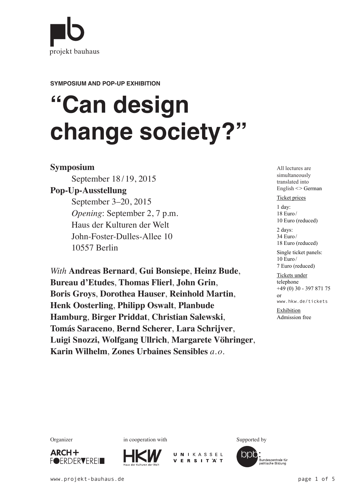

**SYMPOSIUM AND POP-UP EXHIBITION**

# **"Can design change society?"**

### **Symposium**

September 18 / 19, 2015

## **Pop-Up-Ausstellung**

September 3–20, 2015 *Opening*: September 2, 7 p.m. Haus der Kulturen der Welt John-Foster-Dulles-Allee 10 10557 Berlin

*With* **Andreas Bernard**, **Gui Bonsiepe**, **Heinz Bude**, **Bureau d'Etudes**, **Thomas Flierl**, **John Grin**, **Boris Groys**, **Dorothea Hauser**, **Reinhold Martin**, **Henk Oosterling**, **Philipp Oswalt**, **Planbude Hamburg**, **Birger Priddat**, **Christian Salewski**, **Tomás Saraceno**, **Bernd Scherer**, **Lara Schrijver**, **Luigi Snozzi, Wolfgang Ullrich**, **Margarete Vöhringer**, **Karin Wilhelm**, **Zones Urbaines Sensibles** *a. o.*

All lectures are simultaneously translated into English ˂˃ German

#### Ticket prices

1 day: 18 Euro/ 10 Euro (reduced) 2 days:

34 Euro/ 18 Euro (reduced) Single ticket panels:

10 Euro/ 7 Euro (reduced)

Tickets under

telephone  $+49(0)$  30 - 397 871 75 or www.hkw.de/tickets

Exhibition Admission free









Organizer in cooperation with Supported by

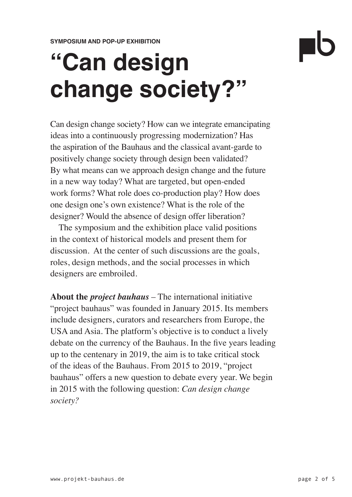# **"Can design change society?"**

Can design change society? How can we integrate emancipating ideas into a continuously progressing modernization? Has the aspiration of the Bauhaus and the classical avant-garde to positively change society through design been validated? By what means can we approach design change and the future in a new way today? What are targeted, but open-ended work forms? What role does co-production play? How does one design one's own existence? What is the role of the designer? Would the absence of design offer liberation?

The symposium and the exhibition place valid positions in the context of historical models and present them for discussion. At the center of such discussions are the goals, roles, design methods, and the social processes in which designers are embroiled.

**About the** *project bauhaus* – The international initiative "project bauhaus" was founded in January 2015. Its members include designers, curators and researchers from Europe, the USA and Asia. The platform's objective is to conduct a lively debate on the currency of the Bauhaus. In the five years leading up to the centenary in 2019, the aim is to take critical stock of the ideas of the Bauhaus. From 2015 to 2019, "project bauhaus" offers a new question to debate every year. We begin in 2015 with the following question: *Can design change society?*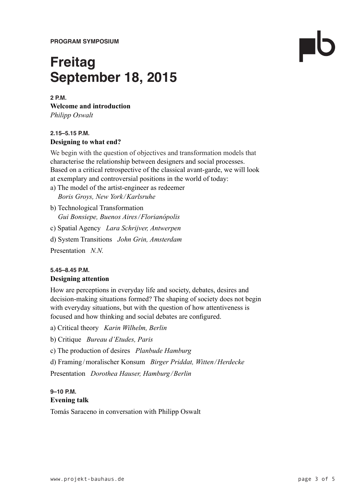**PROGRAM SYMPOSIUM**

## **Freitag September 18, 2015**

#### **2 P.M.**

**Welcome and introduction** *Philipp Oswalt*

#### **2.15–5.15 P.M. Designing to what end?**

We begin with the question of objectives and transformation models that characterise the relationship between designers and social processes. Based on a critical retrospective of the classical avant-garde, we will look at exemplary and controversial positions in the world of today:

- a) The model of the artist-engineer as redeemer *Boris Groys, New York /Karlsruhe*
- b) Technological Transformation *Gui Bonsiepe, Buenos Aires/Florianópolis*
- c) Spatial Agency *Lara Schrijver, Antwerpen*
- d) System Transitions *John Grin, Amsterdam*

Presentation *N.N.* 

#### **5.45–8.45 P.M. Designing attention**

How are perceptions in everyday life and society, debates, desires and decision-making situations formed? The shaping of society does not begin with everyday situations, but with the question of how attentiveness is focused and how thinking and social debates are configured.

- a) Critical theory *Karin Wilhelm, Berlin*
- b) Critique *Bureau d'Etudes, Paris*
- c) The production of desires *Planbude Hamburg*
- d) Framing /moralischer Konsum *Birger Priddat, Witten/Herdecke*

Presentation *Dorothea Hauser, Hamburg /Berlin*

#### **9–10 P.M. Evening talk**

Tomás Saraceno in conversation with Philipp Oswalt

 $\blacksquare$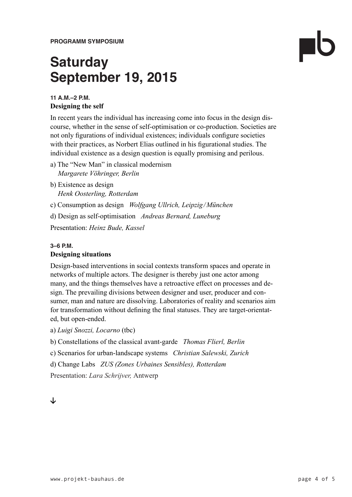**PROGRAMM SYMPOSIUM**

# **Saturday September 19, 2015**

#### **11 A.M.–2 P.M. Designing the self**

In recent years the individual has increasing come into focus in the design discourse, whether in the sense of self-optimisation or co-production. Societies are not only figurations of individual existences; individuals configure societies with their practices, as Norbert Elias outlined in his figurational studies. The individual existence as a design question is equally promising and perilous.

- a) The "New Man" in classical modernism *Margarete Vöhringer, Berlin*
- b) Existence as design *Henk Oosterling, Rotterdam*

c) Consumption as design *Wolfgang Ullrich, Leipzig/München*

d) Design as self-optimisation *Andreas Bernard, Luneburg*

Presentation: *Heinz Bude, Kassel*

#### **3–6 P.M.**

#### **Designing situations**

Design-based interventions in social contexts transform spaces and operate in networks of multiple actors. The designer is thereby just one actor among many, and the things themselves have a retroactive effect on processes and design. The prevailing divisions between designer and user, producer and consumer, man and nature are dissolving. Laboratories of reality and scenarios aim for transformation without defining the final statuses. They are target-orientated, but open-ended.

a) *Luigi Snozzi, Locarno* (tbc)

b) Constellations of the classical avant-garde *Thomas Flierl, Berlin*

c) Scenarios for urban-landscape systems *Christian Salewski, Zurich*

d) Change Labs *ZUS (Zones Urbaines Sensibles), Rotterdam*

Presentation: *Lara Schrijver,* Antwerp

### ≥